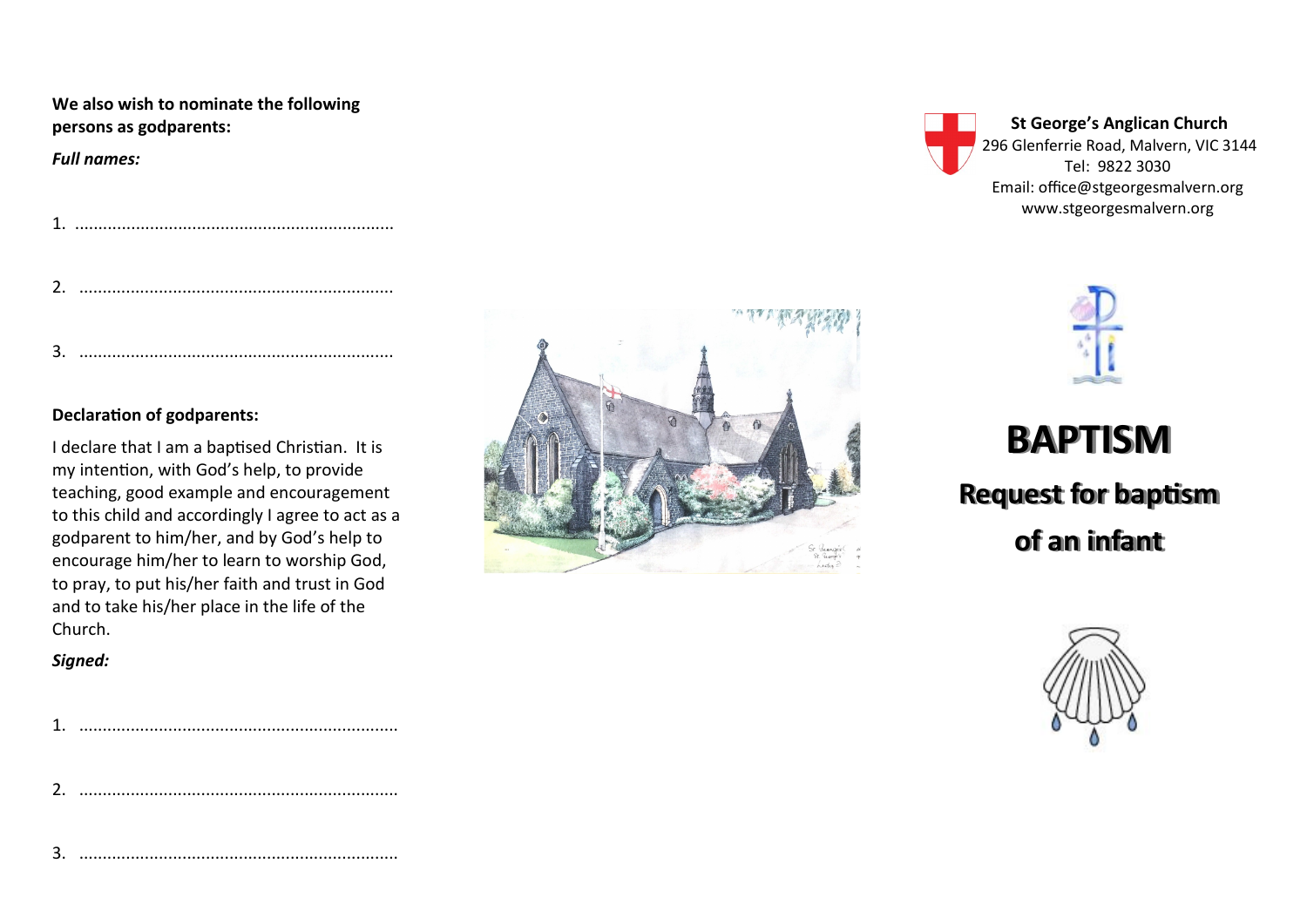## **We also wish to nominate the following persons as godparents:**

*Full names:*

1. ....................................................................

|--|--|--|--|--|--|

3. ...................................................................

## **Declaration of godparents:**

I declare that I am a baptised Christian. It is my intention, with God's help, to provide teaching, good example and encouragement to this child and accordingly I agree to act as a godparent to him/her, and by God's help to encourage him/her to learn to worship God, to pray, to put his/her faith and trust in God and to take his/her place in the life of the Church.

## *Signed:*

2. ....................................................................

3. ....................................................................



**St George's Anglican Church** 296 Glenferrie Road, Malvern, VIC 3144 Tel: 9822 3030 Email: office@stgeorgesmalvern.org www.stgeorgesmalvern.org

**BAPTISM Request for baptism of an infant**